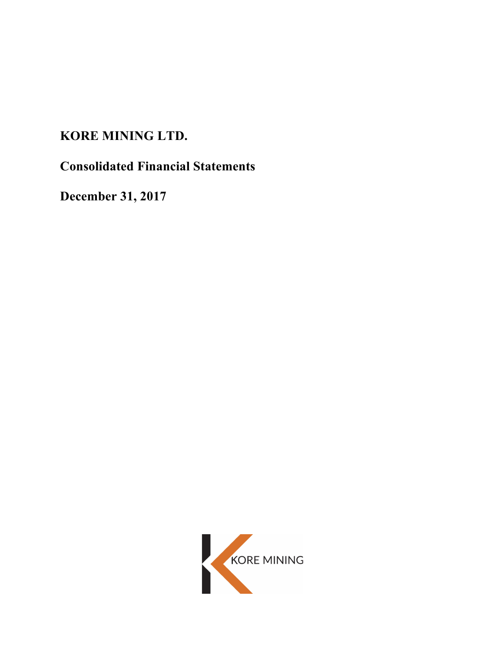# **KORE MINING LTD.**

**Consolidated Financial Statements**

**December 31, 2017**

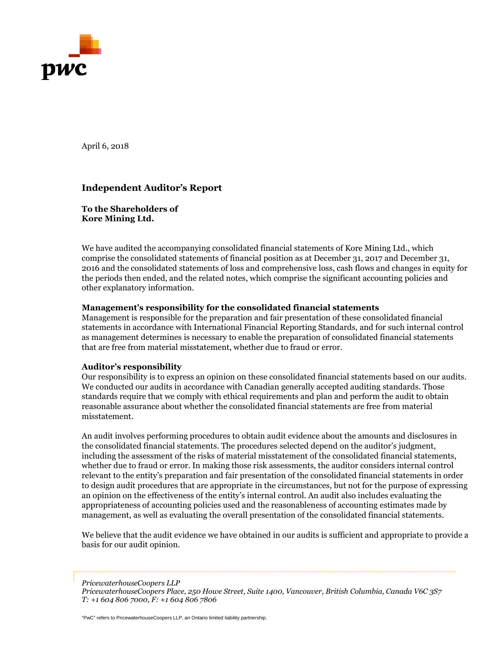

April 6, 2018

# **Independent Auditor's Report**

**To the Shareholders of Kore Mining Ltd.** 

We have audited the accompanying consolidated financial statements of Kore Mining Ltd., which comprise the consolidated statements of financial position as at December 31, 2017 and December 31, 2016 and the consolidated statements of loss and comprehensive loss, cash flows and changes in equity for the periods then ended, and the related notes, which comprise the significant accounting policies and other explanatory information.

# **Management's responsibility for the consolidated financial statements**

Management is responsible for the preparation and fair presentation of these consolidated financial statements in accordance with International Financial Reporting Standards, and for such internal control as management determines is necessary to enable the preparation of consolidated financial statements that are free from material misstatement, whether due to fraud or error.

# **Auditor's responsibility**

Our responsibility is to express an opinion on these consolidated financial statements based on our audits. We conducted our audits in accordance with Canadian generally accepted auditing standards. Those standards require that we comply with ethical requirements and plan and perform the audit to obtain reasonable assurance about whether the consolidated financial statements are free from material misstatement.

An audit involves performing procedures to obtain audit evidence about the amounts and disclosures in the consolidated financial statements. The procedures selected depend on the auditor's judgment, including the assessment of the risks of material misstatement of the consolidated financial statements, whether due to fraud or error. In making those risk assessments, the auditor considers internal control relevant to the entity's preparation and fair presentation of the consolidated financial statements in order to design audit procedures that are appropriate in the circumstances, but not for the purpose of expressing an opinion on the effectiveness of the entity's internal control. An audit also includes evaluating the appropriateness of accounting policies used and the reasonableness of accounting estimates made by management, as well as evaluating the overall presentation of the consolidated financial statements.

We believe that the audit evidence we have obtained in our audits is sufficient and appropriate to provide a basis for our audit opinion.

*PricewaterhouseCoopers LLP*

"PwC" refers to PricewaterhouseCoopers LLP, an Ontario limited liability partnership.

*PricewaterhouseCoopers Place, 250 Howe Street, Suite 1400, Vancouver, British Columbia, Canada V6C 3S7 T: +1 604 806 7000, F: +1 604 806 7806*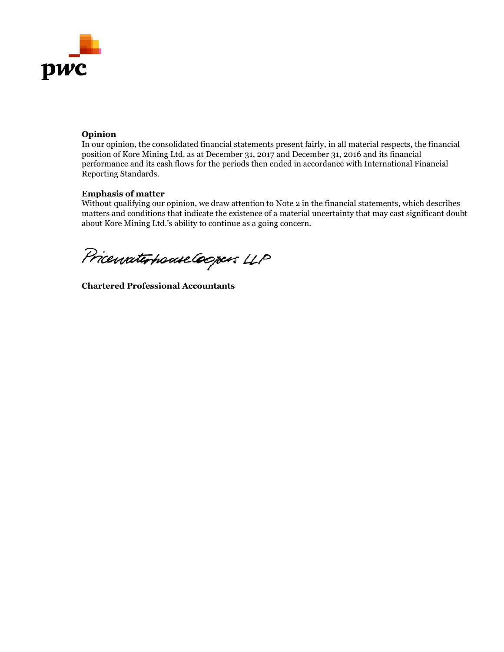

# **Opinion**

In our opinion, the consolidated financial statements present fairly, in all material respects, the financial position of Kore Mining Ltd. as at December 31, 2017 and December 31, 2016 and its financial performance and its cash flows for the periods then ended in accordance with International Financial Reporting Standards.

# **Emphasis of matter**

Without qualifying our opinion, we draw attention to Note 2 in the financial statements, which describes matters and conditions that indicate the existence of a material uncertainty that may cast significant doubt about Kore Mining Ltd.'s ability to continue as a going concern.

Pricewaterhouse Coopers LLP

**Chartered Professional Accountants**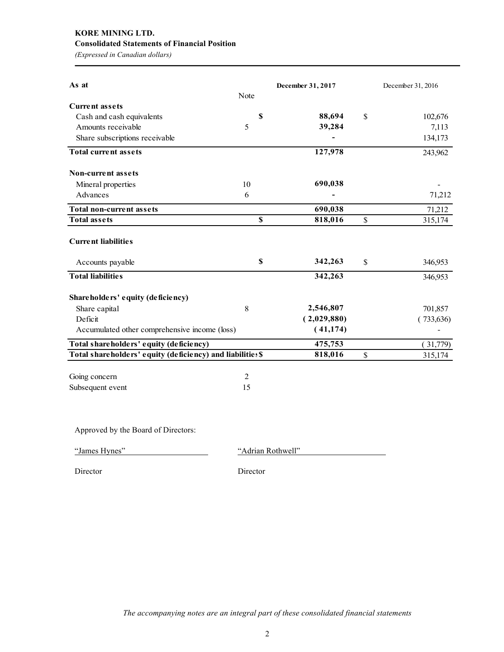# **KORE MINING LTD. Consolidated Statements of Financial Position**

*(Expressed in Canadian dollars)*

| As at                                                      |                           | December 31, 2017 |              | December 31, 2016 |
|------------------------------------------------------------|---------------------------|-------------------|--------------|-------------------|
|                                                            | Note                      |                   |              |                   |
| <b>Current assets</b>                                      |                           |                   |              |                   |
| Cash and cash equivalents                                  | \$                        | 88,694            | $\mathbb{S}$ | 102,676           |
| Amounts receivable                                         | 5                         | 39,284            |              | 7,113             |
| Share subscriptions receivable                             |                           |                   |              | 134,173           |
| <b>Total current assets</b>                                |                           | 127,978           |              | 243,962           |
| <b>Non-current assets</b>                                  |                           |                   |              |                   |
| Mineral properties                                         | 10                        | 690,038           |              |                   |
| Advances                                                   | 6                         |                   |              | 71,212            |
| <b>Total non-current assets</b>                            |                           | 690,038           |              | 71,212            |
| <b>Total assets</b>                                        | $\boldsymbol{\mathsf{s}}$ | 818,016           | \$           | 315,174           |
| <b>Current liabilities</b>                                 |                           |                   |              |                   |
| Accounts payable                                           | $\boldsymbol{\mathsf{s}}$ | 342,263           | \$           | 346,953           |
| <b>Total liabilities</b>                                   |                           | 342,263           |              | 346,953           |
| Shareholders' equity (deficiency)                          |                           |                   |              |                   |
| Share capital                                              | 8                         | 2,546,807         |              | 701,857           |
| Deficit                                                    |                           | (2,029,880)       |              | (733, 636)        |
| Accumulated other comprehensive income (loss)              |                           | (41, 174)         |              |                   |
| Total shareholders' equity (deficiency)                    |                           | 475,753           |              | (31,779)          |
| Total shareholders' equity (deficiency) and liabilities \$ |                           | 818,016           | \$           | 315,174           |
| Going concern                                              | 2                         |                   |              |                   |
| Subsequent event                                           | 15                        |                   |              |                   |

Approved by the Board of Directors:

"James Hynes" "Adrian Rothwell"

Director Director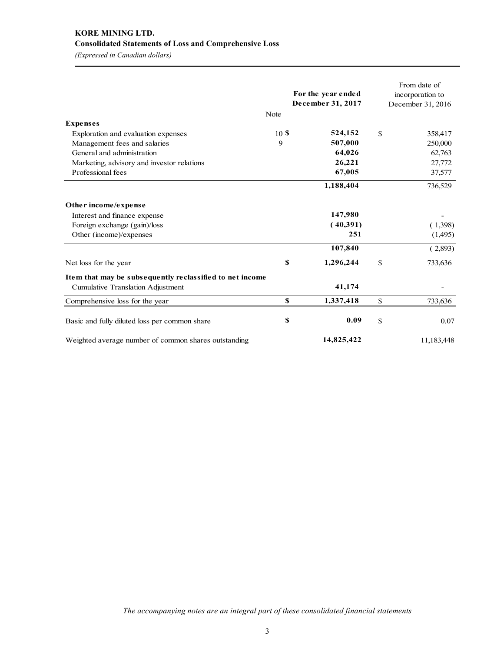# **KORE MINING LTD. Consolidated Statements of Loss and Comprehensive Loss**

*(Expressed in Canadian dollars)*

|                                                          | Note | For the year ended<br>December 31, 2017 | From date of<br>incorporation to<br>December 31, 2016 |
|----------------------------------------------------------|------|-----------------------------------------|-------------------------------------------------------|
| <b>Expenses</b>                                          |      |                                         |                                                       |
| Exploration and evaluation expenses                      | 10S  | 524,152                                 | \$<br>358,417                                         |
| Management fees and salaries                             | 9    | 507,000                                 | 250,000                                               |
| General and administration                               |      | 64,026                                  | 62,763                                                |
| Marketing, advisory and investor relations               |      | 26,221                                  | 27,772                                                |
| Professional fees                                        |      | 67,005                                  | 37,577                                                |
|                                                          |      | 1,188,404                               | 736,529                                               |
| Other income/expense                                     |      |                                         |                                                       |
| Interest and finance expense                             |      | 147,980                                 |                                                       |
| Foreign exchange (gain)/loss                             |      | (40,391)                                | (1,398)                                               |
| Other (income)/expenses                                  |      | 251                                     | (1,495)                                               |
|                                                          |      | 107,840                                 | (2,893)                                               |
| Net loss for the year                                    | \$   | 1,296,244                               | \$<br>733,636                                         |
| Item that may be subsequently reclassified to net income |      |                                         |                                                       |
| <b>Cumulative Translation Adjustment</b>                 |      | 41,174                                  |                                                       |
| Comprehensive loss for the year                          | \$   | 1,337,418                               | \$<br>733,636                                         |
| Basic and fully diluted loss per common share            | \$   | 0.09                                    | \$<br>0.07                                            |
| Weighted average number of common shares outstanding     |      | 14,825,422                              | 11,183,448                                            |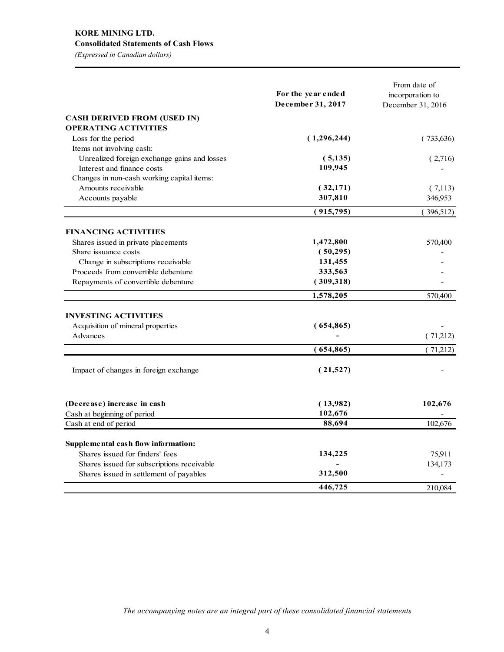# **KORE MINING LTD. Consolidated Statements of Cash Flows**

*(Expressed in Canadian dollars)*

|                                              | For the year ended | From date of<br>incorporation to |
|----------------------------------------------|--------------------|----------------------------------|
|                                              | December 31, 2017  | December 31, 2016                |
| <b>CASH DERIVED FROM (USED IN)</b>           |                    |                                  |
| <b>OPERATING ACTIVITIES</b>                  |                    |                                  |
| Loss for the period                          | (1,296,244)        | (733, 636)                       |
| Items not involving cash:                    |                    |                                  |
| Unrealized foreign exchange gains and losses | (5, 135)           | (2,716)                          |
| Interest and finance costs                   | 109,945            |                                  |
| Changes in non-cash working capital items:   |                    |                                  |
| Amounts receivable                           | (32,171)           | (7,113)                          |
| Accounts payable                             | 307,810            | 346,953                          |
|                                              | (915,795)          | (396,512)                        |
| <b>FINANCING ACTIVITIES</b>                  |                    |                                  |
| Shares issued in private placements          | 1,472,800          | 570,400                          |
| Share issuance costs                         | (50, 295)          |                                  |
| Change in subscriptions receivable           | 131,455            |                                  |
| Proceeds from convertible debenture          | 333,563            |                                  |
| Repayments of convertible debenture          | (309,318)          |                                  |
|                                              | 1,578,205          | 570,400                          |
|                                              |                    |                                  |
| <b>INVESTING ACTIVITIES</b>                  |                    |                                  |
| Acquisition of mineral properties            | (654, 865)         |                                  |
| Advances                                     |                    | (71,212)                         |
|                                              | (654, 865)         | (71,212)                         |
| Impact of changes in foreign exchange        | (21,527)           |                                  |
| (Decrease) increase in cash                  | (13,982)           | 102,676                          |
| Cash at beginning of period                  | 102,676            |                                  |
| Cash at end of period                        | 88,694             | 102,676                          |
| Supplemental cash flow information:          |                    |                                  |
| Shares issued for finders' fees              | 134,225            | 75,911                           |
| Shares issued for subscriptions receivable   |                    | 134,173                          |
| Shares issued in settlement of payables      | 312,500            |                                  |
|                                              | 446,725            | 210.084                          |

*The accompanying notes are an integral part of these consolidated financial statements*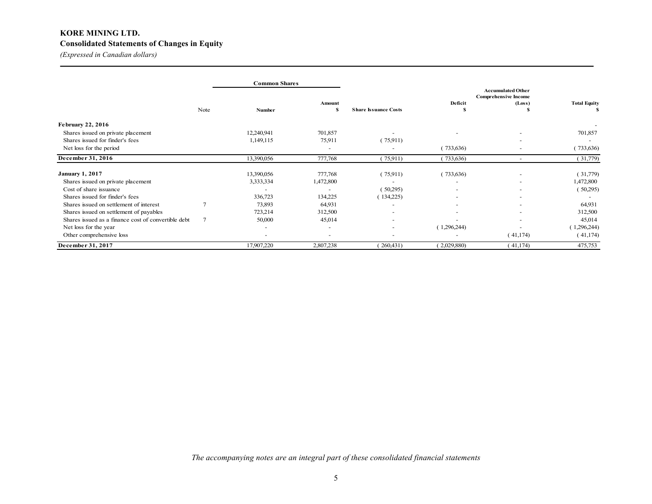# **KORE MINING LTD. Consolidated Statements of Changes in Equity**

*(Expressed in Canadian dollars)*

|                                                     |                | <b>Common Shares</b>     |                          |                             |                                                         |                          |                     |  |
|-----------------------------------------------------|----------------|--------------------------|--------------------------|-----------------------------|---------------------------------------------------------|--------------------------|---------------------|--|
|                                                     |                |                          |                          |                             | <b>Accumulated Other</b><br><b>Comprehensive Income</b> |                          |                     |  |
|                                                     |                |                          | Amount                   |                             | Deficit                                                 | (Loss)                   | <b>Total Equity</b> |  |
|                                                     | Note           | <b>Number</b>            | S                        | <b>Share Issuance Costs</b> |                                                         |                          | S                   |  |
| <b>February 22, 2016</b>                            |                |                          |                          |                             |                                                         |                          |                     |  |
| Shares issued on private placement                  |                | 12,240,941               | 701,857                  |                             |                                                         |                          | 701,857             |  |
| Shares issued for finder's fees                     |                | 1,149,115                | 75,911                   | 75,911                      |                                                         |                          |                     |  |
| Net loss for the period                             |                |                          | $\overline{\phantom{a}}$ |                             | (733,636)                                               |                          | (733, 636)          |  |
| December 31, 2016                                   |                | 13,390,056               | 777,768                  | (75,911)                    | (733,636)                                               | $\overline{\phantom{a}}$ | (31,779)            |  |
| <b>January 1, 2017</b>                              |                | 13,390,056               | 777,768                  | 75,911                      | (733,636)                                               |                          | (31,779)            |  |
| Shares issued on private placement                  |                | 3,333,334                | 1,472,800                |                             |                                                         |                          | 1,472,800           |  |
| Cost of share issuance                              |                |                          |                          | (50,295)                    |                                                         |                          | (50,295)            |  |
| Shares issued for finder's fees                     |                | 336,723                  | 134,225                  | (134,225)                   |                                                         | ٠                        |                     |  |
| Shares issued on settlement of interest             | $\overline{7}$ | 73,893                   | 64,931                   | ٠                           | $\overline{\phantom{a}}$                                |                          | 64,931              |  |
| Shares issued on settlement of payables             |                | 723,214                  | 312,500                  | ٠                           |                                                         |                          | 312,500             |  |
| Shares issued as a finance cost of convertible debt | $\overline{7}$ | 50,000                   | 45,014                   | ٠                           |                                                         |                          | 45,014              |  |
| Net loss for the year                               |                | $\overline{\phantom{0}}$ | ٠                        | ۰                           | 1,296,244                                               |                          | 1,296,244           |  |
| Other comprehensive loss                            |                | $\overline{\phantom{0}}$ | $\overline{\phantom{0}}$ | ٠                           |                                                         | (41,174)                 | (41, 174)           |  |
| December 31, 2017                                   |                | 17,907,220               | 2,807,238                | 260,431                     | (2,029,880)                                             | (41,174)                 | 475,753             |  |

*The accompanying notes are an integral part of these consolidated financial statements*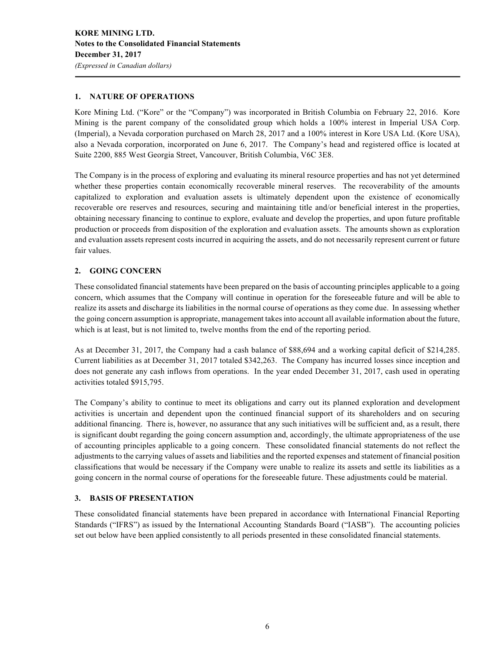# **1. NATURE OF OPERATIONS**

Kore Mining Ltd. ("Kore" or the "Company") was incorporated in British Columbia on February 22, 2016. Kore Mining is the parent company of the consolidated group which holds a 100% interest in Imperial USA Corp. (Imperial), a Nevada corporation purchased on March 28, 2017 and a 100% interest in Kore USA Ltd. (Kore USA), also a Nevada corporation, incorporated on June 6, 2017. The Company's head and registered office is located at Suite 2200, 885 West Georgia Street, Vancouver, British Columbia, V6C 3E8.

The Company is in the process of exploring and evaluating its mineral resource properties and has not yet determined whether these properties contain economically recoverable mineral reserves. The recoverability of the amounts capitalized to exploration and evaluation assets is ultimately dependent upon the existence of economically recoverable ore reserves and resources, securing and maintaining title and/or beneficial interest in the properties, obtaining necessary financing to continue to explore, evaluate and develop the properties, and upon future profitable production or proceeds from disposition of the exploration and evaluation assets. The amounts shown as exploration and evaluation assets represent costs incurred in acquiring the assets, and do not necessarily represent current or future fair values.

# **2. GOING CONCERN**

These consolidated financial statements have been prepared on the basis of accounting principles applicable to a going concern, which assumes that the Company will continue in operation for the foreseeable future and will be able to realize its assets and discharge its liabilities in the normal course of operations as they come due. In assessing whether the going concern assumption is appropriate, management takes into account all available information about the future, which is at least, but is not limited to, twelve months from the end of the reporting period.

As at December 31, 2017, the Company had a cash balance of \$88,694 and a working capital deficit of \$214,285. Current liabilities as at December 31, 2017 totaled \$342,263. The Company has incurred losses since inception and does not generate any cash inflows from operations. In the year ended December 31, 2017, cash used in operating activities totaled \$915,795.

The Company's ability to continue to meet its obligations and carry out its planned exploration and development activities is uncertain and dependent upon the continued financial support of its shareholders and on securing additional financing. There is, however, no assurance that any such initiatives will be sufficient and, as a result, there is significant doubt regarding the going concern assumption and, accordingly, the ultimate appropriateness of the use of accounting principles applicable to a going concern. These consolidated financial statements do not reflect the adjustments to the carrying values of assets and liabilities and the reported expenses and statement of financial position classifications that would be necessary if the Company were unable to realize its assets and settle its liabilities as a going concern in the normal course of operations for the foreseeable future. These adjustments could be material.

# **3. BASIS OF PRESENTATION**

These consolidated financial statements have been prepared in accordance with International Financial Reporting Standards ("IFRS") as issued by the International Accounting Standards Board ("IASB"). The accounting policies set out below have been applied consistently to all periods presented in these consolidated financial statements.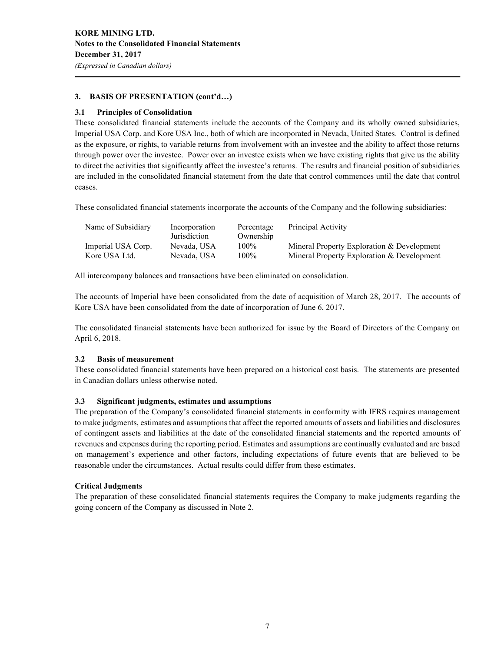*(Expressed in Canadian dollars)*

# **3. BASIS OF PRESENTATION (cont'd…)**

# **3.1 Principles of Consolidation**

These consolidated financial statements include the accounts of the Company and its wholly owned subsidiaries, Imperial USA Corp. and Kore USA Inc., both of which are incorporated in Nevada, United States. Control is defined as the exposure, or rights, to variable returns from involvement with an investee and the ability to affect those returns through power over the investee. Power over an investee exists when we have existing rights that give us the ability to direct the activities that significantly affect the investee's returns. The results and financial position of subsidiaries are included in the consolidated financial statement from the date that control commences until the date that control ceases.

These consolidated financial statements incorporate the accounts of the Company and the following subsidiaries:

| Name of Subsidiary | Incorporation<br>Jurisdiction | Percentage<br>Ownership | Principal Activity                         |
|--------------------|-------------------------------|-------------------------|--------------------------------------------|
| Imperial USA Corp. | Nevada. USA                   | 100%                    | Mineral Property Exploration & Development |
| Kore USA Ltd.      | Nevada, USA                   | 100%                    | Mineral Property Exploration & Development |

All intercompany balances and transactions have been eliminated on consolidation.

The accounts of Imperial have been consolidated from the date of acquisition of March 28, 2017. The accounts of Kore USA have been consolidated from the date of incorporation of June 6, 2017.

The consolidated financial statements have been authorized for issue by the Board of Directors of the Company on April 6, 2018.

# **3.2 Basis of measurement**

These consolidated financial statements have been prepared on a historical cost basis. The statements are presented in Canadian dollars unless otherwise noted.

# **3.3 Significant judgments, estimates and assumptions**

The preparation of the Company's consolidated financial statements in conformity with IFRS requires management to make judgments, estimates and assumptions that affect the reported amounts of assets and liabilities and disclosures of contingent assets and liabilities at the date of the consolidated financial statements and the reported amounts of revenues and expenses during the reporting period. Estimates and assumptions are continually evaluated and are based on management's experience and other factors, including expectations of future events that are believed to be reasonable under the circumstances. Actual results could differ from these estimates.

# **Critical Judgments**

The preparation of these consolidated financial statements requires the Company to make judgments regarding the going concern of the Company as discussed in Note 2.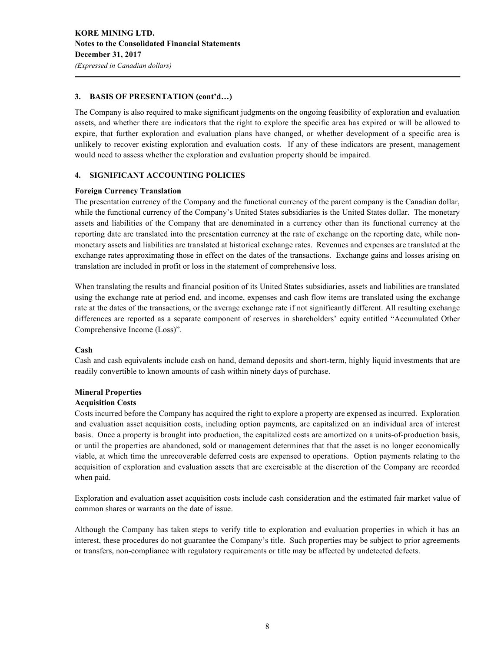# **3. BASIS OF PRESENTATION (cont'd…)**

The Company is also required to make significant judgments on the ongoing feasibility of exploration and evaluation assets, and whether there are indicators that the right to explore the specific area has expired or will be allowed to expire, that further exploration and evaluation plans have changed, or whether development of a specific area is unlikely to recover existing exploration and evaluation costs. If any of these indicators are present, management would need to assess whether the exploration and evaluation property should be impaired.

# **4. SIGNIFICANT ACCOUNTING POLICIES**

# **Foreign Currency Translation**

The presentation currency of the Company and the functional currency of the parent company is the Canadian dollar, while the functional currency of the Company's United States subsidiaries is the United States dollar. The monetary assets and liabilities of the Company that are denominated in a currency other than its functional currency at the reporting date are translated into the presentation currency at the rate of exchange on the reporting date, while nonmonetary assets and liabilities are translated at historical exchange rates. Revenues and expenses are translated at the exchange rates approximating those in effect on the dates of the transactions. Exchange gains and losses arising on translation are included in profit or loss in the statement of comprehensive loss.

When translating the results and financial position of its United States subsidiaries, assets and liabilities are translated using the exchange rate at period end, and income, expenses and cash flow items are translated using the exchange rate at the dates of the transactions, or the average exchange rate if not significantly different. All resulting exchange differences are reported as a separate component of reserves in shareholders' equity entitled "Accumulated Other Comprehensive Income (Loss)".

# **Cash**

Cash and cash equivalents include cash on hand, demand deposits and short-term, highly liquid investments that are readily convertible to known amounts of cash within ninety days of purchase.

# **Mineral Properties**

# **Acquisition Costs**

Costs incurred before the Company has acquired the right to explore a property are expensed as incurred. Exploration and evaluation asset acquisition costs, including option payments, are capitalized on an individual area of interest basis. Once a property is brought into production, the capitalized costs are amortized on a units-of-production basis, or until the properties are abandoned, sold or management determines that that the asset is no longer economically viable, at which time the unrecoverable deferred costs are expensed to operations. Option payments relating to the acquisition of exploration and evaluation assets that are exercisable at the discretion of the Company are recorded when paid.

Exploration and evaluation asset acquisition costs include cash consideration and the estimated fair market value of common shares or warrants on the date of issue.

Although the Company has taken steps to verify title to exploration and evaluation properties in which it has an interest, these procedures do not guarantee the Company's title. Such properties may be subject to prior agreements or transfers, non-compliance with regulatory requirements or title may be affected by undetected defects.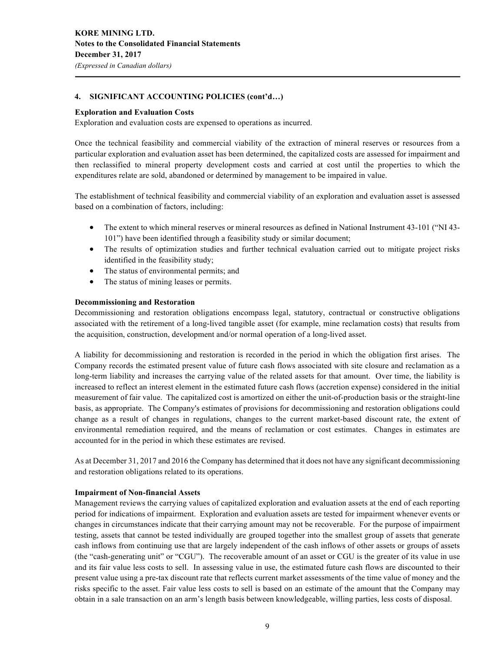#### **Exploration and Evaluation Costs**

Exploration and evaluation costs are expensed to operations as incurred.

Once the technical feasibility and commercial viability of the extraction of mineral reserves or resources from a particular exploration and evaluation asset has been determined, the capitalized costs are assessed for impairment and then reclassified to mineral property development costs and carried at cost until the properties to which the expenditures relate are sold, abandoned or determined by management to be impaired in value.

The establishment of technical feasibility and commercial viability of an exploration and evaluation asset is assessed based on a combination of factors, including:

- The extent to which mineral reserves or mineral resources as defined in National Instrument 43-101 ("NI 43-101") have been identified through a feasibility study or similar document;
- The results of optimization studies and further technical evaluation carried out to mitigate project risks identified in the feasibility study;
- The status of environmental permits; and
- The status of mining leases or permits.

#### **Decommissioning and Restoration**

Decommissioning and restoration obligations encompass legal, statutory, contractual or constructive obligations associated with the retirement of a long-lived tangible asset (for example, mine reclamation costs) that results from the acquisition, construction, development and/or normal operation of a long-lived asset.

A liability for decommissioning and restoration is recorded in the period in which the obligation first arises. The Company records the estimated present value of future cash flows associated with site closure and reclamation as a long-term liability and increases the carrying value of the related assets for that amount. Over time, the liability is increased to reflect an interest element in the estimated future cash flows (accretion expense) considered in the initial measurement of fair value. The capitalized cost is amortized on either the unit-of-production basis or the straight-line basis, as appropriate. The Company's estimates of provisions for decommissioning and restoration obligations could change as a result of changes in regulations, changes to the current market-based discount rate, the extent of environmental remediation required, and the means of reclamation or cost estimates. Changes in estimates are accounted for in the period in which these estimates are revised.

As at December 31, 2017 and 2016 the Company has determined that it does not have any significant decommissioning and restoration obligations related to its operations.

#### **Impairment of Non-financial Assets**

Management reviews the carrying values of capitalized exploration and evaluation assets at the end of each reporting period for indications of impairment. Exploration and evaluation assets are tested for impairment whenever events or changes in circumstances indicate that their carrying amount may not be recoverable. For the purpose of impairment testing, assets that cannot be tested individually are grouped together into the smallest group of assets that generate cash inflows from continuing use that are largely independent of the cash inflows of other assets or groups of assets (the "cash-generating unit" or "CGU"). The recoverable amount of an asset or CGU is the greater of its value in use and its fair value less costs to sell. In assessing value in use, the estimated future cash flows are discounted to their present value using a pre-tax discount rate that reflects current market assessments of the time value of money and the risks specific to the asset. Fair value less costs to sell is based on an estimate of the amount that the Company may obtain in a sale transaction on an arm's length basis between knowledgeable, willing parties, less costs of disposal.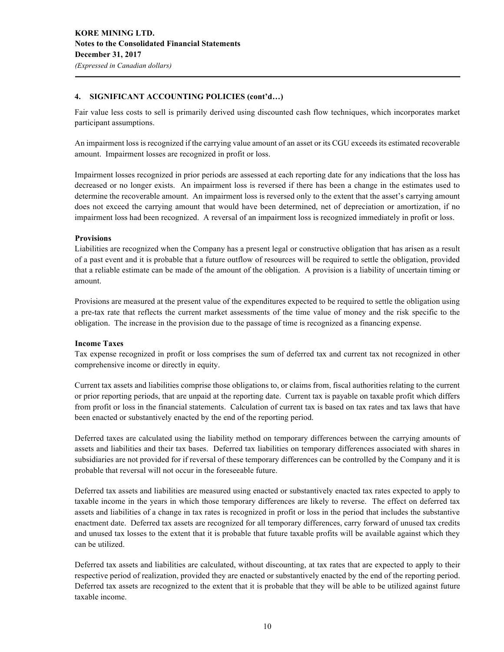Fair value less costs to sell is primarily derived using discounted cash flow techniques, which incorporates market participant assumptions.

An impairment loss is recognized if the carrying value amount of an asset or its CGU exceeds its estimated recoverable amount. Impairment losses are recognized in profit or loss.

Impairment losses recognized in prior periods are assessed at each reporting date for any indications that the loss has decreased or no longer exists. An impairment loss is reversed if there has been a change in the estimates used to determine the recoverable amount. An impairment loss is reversed only to the extent that the asset's carrying amount does not exceed the carrying amount that would have been determined, net of depreciation or amortization, if no impairment loss had been recognized. A reversal of an impairment loss is recognized immediately in profit or loss.

#### **Provisions**

Liabilities are recognized when the Company has a present legal or constructive obligation that has arisen as a result of a past event and it is probable that a future outflow of resources will be required to settle the obligation, provided that a reliable estimate can be made of the amount of the obligation. A provision is a liability of uncertain timing or amount.

Provisions are measured at the present value of the expenditures expected to be required to settle the obligation using a pre-tax rate that reflects the current market assessments of the time value of money and the risk specific to the obligation. The increase in the provision due to the passage of time is recognized as a financing expense.

#### **Income Taxes**

Tax expense recognized in profit or loss comprises the sum of deferred tax and current tax not recognized in other comprehensive income or directly in equity.

Current tax assets and liabilities comprise those obligations to, or claims from, fiscal authorities relating to the current or prior reporting periods, that are unpaid at the reporting date. Current tax is payable on taxable profit which differs from profit or loss in the financial statements. Calculation of current tax is based on tax rates and tax laws that have been enacted or substantively enacted by the end of the reporting period.

Deferred taxes are calculated using the liability method on temporary differences between the carrying amounts of assets and liabilities and their tax bases. Deferred tax liabilities on temporary differences associated with shares in subsidiaries are not provided for if reversal of these temporary differences can be controlled by the Company and it is probable that reversal will not occur in the foreseeable future.

Deferred tax assets and liabilities are measured using enacted or substantively enacted tax rates expected to apply to taxable income in the years in which those temporary differences are likely to reverse. The effect on deferred tax assets and liabilities of a change in tax rates is recognized in profit or loss in the period that includes the substantive enactment date. Deferred tax assets are recognized for all temporary differences, carry forward of unused tax credits and unused tax losses to the extent that it is probable that future taxable profits will be available against which they can be utilized.

Deferred tax assets and liabilities are calculated, without discounting, at tax rates that are expected to apply to their respective period of realization, provided they are enacted or substantively enacted by the end of the reporting period. Deferred tax assets are recognized to the extent that it is probable that they will be able to be utilized against future taxable income.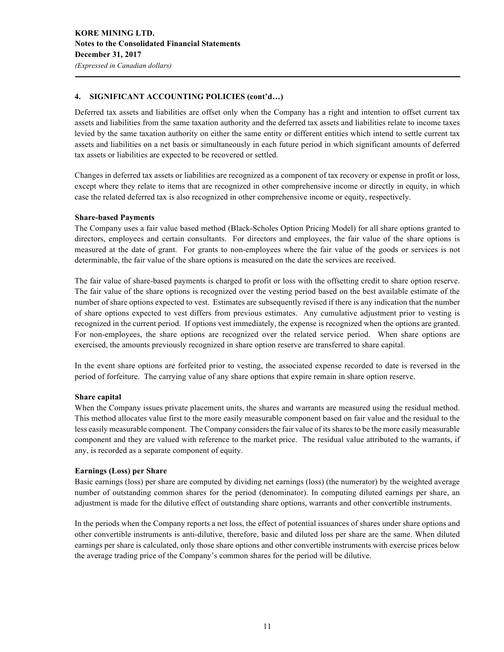Deferred tax assets and liabilities are offset only when the Company has a right and intention to offset current tax assets and liabilities from the same taxation authority and the deferred tax assets and liabilities relate to income taxes levied by the same taxation authority on either the same entity or different entities which intend to settle current tax assets and liabilities on a net basis or simultaneously in each future period in which significant amounts of deferred tax assets or liabilities are expected to be recovered or settled.

Changes in deferred tax assets or liabilities are recognized as a component of tax recovery or expense in profit or loss, except where they relate to items that are recognized in other comprehensive income or directly in equity, in which case the related deferred tax is also recognized in other comprehensive income or equity, respectively.

#### **Share-based Payments**

The Company uses a fair value based method (Black-Scholes Option Pricing Model) for all share options granted to directors, employees and certain consultants. For directors and employees, the fair value of the share options is measured at the date of grant. For grants to non-employees where the fair value of the goods or services is not determinable, the fair value of the share options is measured on the date the services are received.

The fair value of share-based payments is charged to profit or loss with the offsetting credit to share option reserve. The fair value of the share options is recognized over the vesting period based on the best available estimate of the number of share options expected to vest. Estimates are subsequently revised if there is any indication that the number of share options expected to vest differs from previous estimates. Any cumulative adjustment prior to vesting is recognized in the current period. If options vest immediately, the expense is recognized when the options are granted. For non-employees, the share options are recognized over the related service period. When share options are exercised, the amounts previously recognized in share option reserve are transferred to share capital.

In the event share options are forfeited prior to vesting, the associated expense recorded to date is reversed in the period of forfeiture. The carrying value of any share options that expire remain in share option reserve.

# **Share capital**

When the Company issues private placement units, the shares and warrants are measured using the residual method. This method allocates value first to the more easily measurable component based on fair value and the residual to the less easily measurable component. The Company considers the fair value of its shares to be the more easily measurable component and they are valued with reference to the market price. The residual value attributed to the warrants, if any, is recorded as a separate component of equity.

# **Earnings (Loss) per Share**

Basic earnings (loss) per share are computed by dividing net earnings (loss) (the numerator) by the weighted average number of outstanding common shares for the period (denominator). In computing diluted earnings per share, an adjustment is made for the dilutive effect of outstanding share options, warrants and other convertible instruments.

In the periods when the Company reports a net loss, the effect of potential issuances of shares under share options and other convertible instruments is anti-dilutive, therefore, basic and diluted loss per share are the same. When diluted earnings per share is calculated, only those share options and other convertible instruments with exercise prices below the average trading price of the Company's common shares for the period will be dilutive.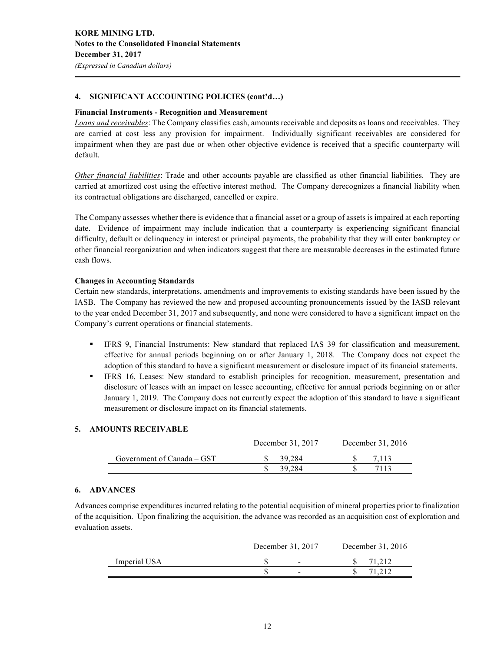#### **Financial Instruments - Recognition and Measurement**

*Loans and receivables*: The Company classifies cash, amounts receivable and deposits as loans and receivables. They are carried at cost less any provision for impairment. Individually significant receivables are considered for impairment when they are past due or when other objective evidence is received that a specific counterparty will default.

*Other financial liabilities*: Trade and other accounts payable are classified as other financial liabilities. They are carried at amortized cost using the effective interest method. The Company derecognizes a financial liability when its contractual obligations are discharged, cancelled or expire.

The Company assesses whether there is evidence that a financial asset or a group of assets is impaired at each reporting date. Evidence of impairment may include indication that a counterparty is experiencing significant financial difficulty, default or delinquency in interest or principal payments, the probability that they will enter bankruptcy or other financial reorganization and when indicators suggest that there are measurable decreases in the estimated future cash flows.

#### **Changes in Accounting Standards**

Certain new standards, interpretations, amendments and improvements to existing standards have been issued by the IASB. The Company has reviewed the new and proposed accounting pronouncements issued by the IASB relevant to the year ended December 31, 2017 and subsequently, and none were considered to have a significant impact on the Company's current operations or financial statements.

- § IFRS 9, Financial Instruments: New standard that replaced IAS 39 for classification and measurement, effective for annual periods beginning on or after January 1, 2018. The Company does not expect the adoption of this standard to have a significant measurement or disclosure impact of its financial statements.
- § IFRS 16, Leases: New standard to establish principles for recognition, measurement, presentation and disclosure of leases with an impact on lessee accounting, effective for annual periods beginning on or after January 1, 2019. The Company does not currently expect the adoption of this standard to have a significant measurement or disclosure impact on its financial statements.

#### **5. AMOUNTS RECEIVABLE**

|                            | December 31, 2017 | December 31, 2016 |
|----------------------------|-------------------|-------------------|
| Government of Canada – GST | 39.284            | 7.113             |
|                            | 39.284            | 7113              |

#### **6. ADVANCES**

Advances comprise expenditures incurred relating to the potential acquisition of mineral properties prior to finalization of the acquisition. Upon finalizing the acquisition, the advance was recorded as an acquisition cost of exploration and evaluation assets.

|              | December 31, 2017 | December 31, 2016 |
|--------------|-------------------|-------------------|
| Imperial USA | $\sim$            | 71.212            |
|              | $\sim$            | 71.212            |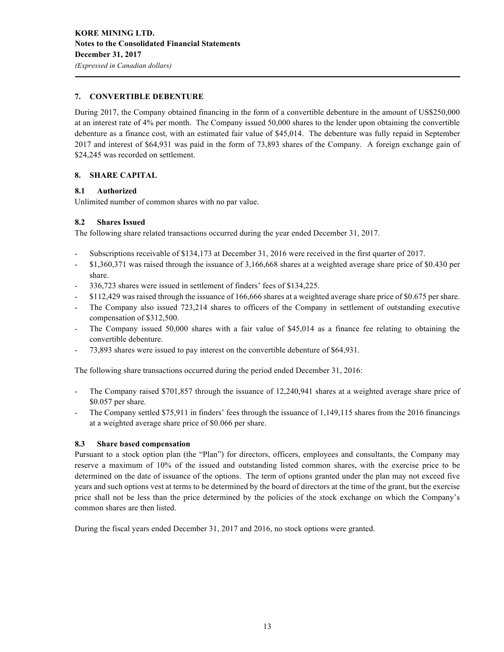# **7. CONVERTIBLE DEBENTURE**

During 2017, the Company obtained financing in the form of a convertible debenture in the amount of US\$250,000 at an interest rate of 4% per month. The Company issued 50,000 shares to the lender upon obtaining the convertible debenture as a finance cost, with an estimated fair value of \$45,014. The debenture was fully repaid in September 2017 and interest of \$64,931 was paid in the form of 73,893 shares of the Company. A foreign exchange gain of \$24,245 was recorded on settlement.

# **8. SHARE CAPITAL**

# **8.1 Authorized**

Unlimited number of common shares with no par value.

# **8.2 Shares Issued**

The following share related transactions occurred during the year ended December 31, 2017.

- Subscriptions receivable of \$134,173 at December 31, 2016 were received in the first quarter of 2017.
- \$1,360,371 was raised through the issuance of 3,166,668 shares at a weighted average share price of \$0.430 per share.
- 336,723 shares were issued in settlement of finders' fees of \$134,225.
- \$112,429 was raised through the issuance of 166,666 shares at a weighted average share price of \$0.675 per share.
- The Company also issued 723,214 shares to officers of the Company in settlement of outstanding executive compensation of \$312,500.
- The Company issued 50,000 shares with a fair value of \$45,014 as a finance fee relating to obtaining the convertible debenture.
- 73,893 shares were issued to pay interest on the convertible debenture of \$64,931.

The following share transactions occurred during the period ended December 31, 2016:

- The Company raised \$701,857 through the issuance of 12,240,941 shares at a weighted average share price of \$0.057 per share.
- The Company settled \$75,911 in finders' fees through the issuance of 1,149,115 shares from the 2016 financings at a weighted average share price of \$0.066 per share.

# **8.3 Share based compensation**

Pursuant to a stock option plan (the "Plan") for directors, officers, employees and consultants, the Company may reserve a maximum of 10% of the issued and outstanding listed common shares, with the exercise price to be determined on the date of issuance of the options. The term of options granted under the plan may not exceed five years and such options vest at terms to be determined by the board of directors at the time of the grant, but the exercise price shall not be less than the price determined by the policies of the stock exchange on which the Company's common shares are then listed.

During the fiscal years ended December 31, 2017 and 2016, no stock options were granted.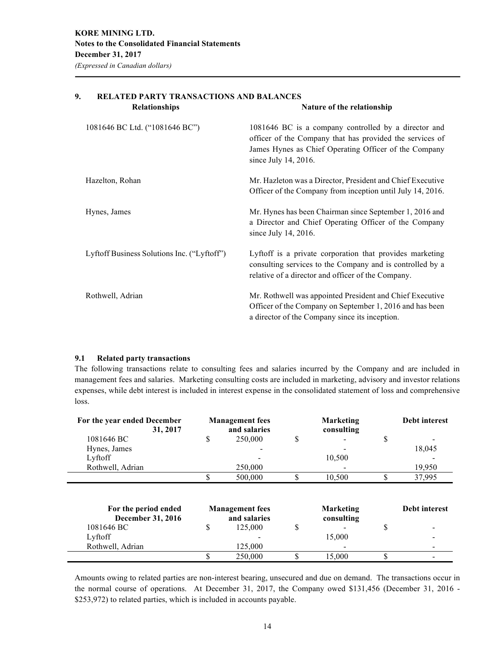| <b>Relationships</b>                        | Nature of the relationship                                                                                                                                                                           |
|---------------------------------------------|------------------------------------------------------------------------------------------------------------------------------------------------------------------------------------------------------|
| 1081646 BC Ltd. ("1081646 BC")              | 1081646 BC is a company controlled by a director and<br>officer of the Company that has provided the services of<br>James Hynes as Chief Operating Officer of the Company<br>since July $14, 2016$ . |
| Hazelton, Rohan                             | Mr. Hazleton was a Director, President and Chief Executive<br>Officer of the Company from inception until July 14, 2016.                                                                             |
| Hynes, James                                | Mr. Hynes has been Chairman since September 1, 2016 and<br>a Director and Chief Operating Officer of the Company<br>since July 14, 2016.                                                             |
| Lyftoff Business Solutions Inc. ("Lyftoff") | Lyftoff is a private corporation that provides marketing<br>consulting services to the Company and is controlled by a<br>relative of a director and officer of the Company.                          |
| Rothwell, Adrian                            | Mr. Rothwell was appointed President and Chief Executive<br>Officer of the Company on September 1, 2016 and has been<br>a director of the Company since its inception.                               |

# **9. RELATED PARTY TRANSACTIONS AND BALANCES**

# **9.1 Related party transactions**

The following transactions relate to consulting fees and salaries incurred by the Company and are included in management fees and salaries. Marketing consulting costs are included in marketing, advisory and investor relations expenses, while debt interest is included in interest expense in the consolidated statement of loss and comprehensive loss.

| For the year ended December<br>31, 2017          | <b>Management</b> fees<br>and salaries | <b>Marketing</b><br>consulting | <b>Debt interest</b> |
|--------------------------------------------------|----------------------------------------|--------------------------------|----------------------|
| 1081646 BC                                       | \$<br>250,000                          | \$                             | \$                   |
| Hynes, James                                     |                                        |                                | 18,045               |
| Lyftoff                                          |                                        | 10,500                         |                      |
| Rothwell, Adrian                                 | 250,000                                |                                | 19,950               |
|                                                  | 500,000                                | \$<br>10,500                   | \$<br>37,995         |
| For the period ended<br><b>December 31, 2016</b> | <b>Management</b> fees<br>and salaries | <b>Marketing</b><br>consulting | <b>Debt interest</b> |
| 1081646 BC                                       | \$<br>125,000                          | \$                             | \$                   |
| Lyftoff                                          |                                        | 15,000                         |                      |
| Rothwell, Adrian                                 | 125,000                                |                                |                      |
|                                                  | 250,000                                | 15,000                         | \$                   |

Amounts owing to related parties are non-interest bearing, unsecured and due on demand. The transactions occur in the normal course of operations. At December 31, 2017, the Company owed \$131,456 (December 31, 2016 - \$253,972) to related parties, which is included in accounts payable.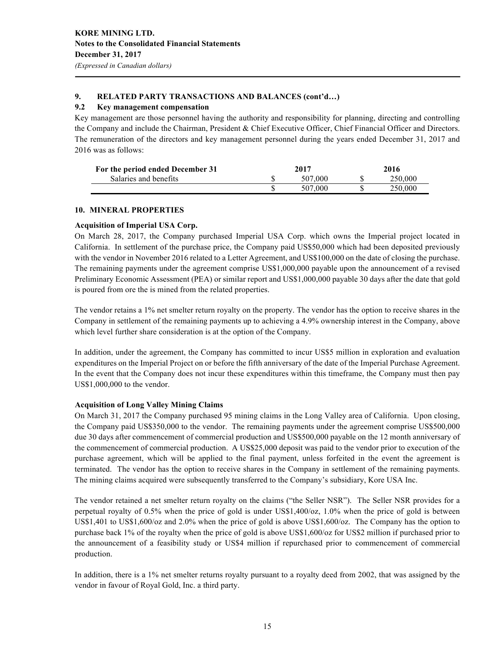# **9. RELATED PARTY TRANSACTIONS AND BALANCES (cont'd…)**

#### **9.2 Key management compensation**

Key management are those personnel having the authority and responsibility for planning, directing and controlling the Company and include the Chairman, President & Chief Executive Officer, Chief Financial Officer and Directors. The remuneration of the directors and key management personnel during the years ended December 31, 2017 and 2016 was as follows:

| For the period ended December 31 | 2017    | 2016 |         |  |
|----------------------------------|---------|------|---------|--|
| Salaries and benefits            | 507.000 |      | 250,000 |  |
|                                  | 507,000 |      | 250,000 |  |

#### **10. MINERAL PROPERTIES**

#### **Acquisition of Imperial USA Corp.**

On March 28, 2017, the Company purchased Imperial USA Corp. which owns the Imperial project located in California. In settlement of the purchase price, the Company paid US\$50,000 which had been deposited previously with the vendor in November 2016 related to a Letter Agreement, and US\$100,000 on the date of closing the purchase. The remaining payments under the agreement comprise US\$1,000,000 payable upon the announcement of a revised Preliminary Economic Assessment (PEA) or similar report and US\$1,000,000 payable 30 days after the date that gold is poured from ore the is mined from the related properties.

The vendor retains a 1% net smelter return royalty on the property. The vendor has the option to receive shares in the Company in settlement of the remaining payments up to achieving a 4.9% ownership interest in the Company, above which level further share consideration is at the option of the Company.

In addition, under the agreement, the Company has committed to incur US\$5 million in exploration and evaluation expenditures on the Imperial Project on or before the fifth anniversary of the date of the Imperial Purchase Agreement. In the event that the Company does not incur these expenditures within this timeframe, the Company must then pay US\$1,000,000 to the vendor.

# **Acquisition of Long Valley Mining Claims**

On March 31, 2017 the Company purchased 95 mining claims in the Long Valley area of California. Upon closing, the Company paid US\$350,000 to the vendor. The remaining payments under the agreement comprise US\$500,000 due 30 days after commencement of commercial production and US\$500,000 payable on the 12 month anniversary of the commencement of commercial production. A US\$25,000 deposit was paid to the vendor prior to execution of the purchase agreement, which will be applied to the final payment, unless forfeited in the event the agreement is terminated. The vendor has the option to receive shares in the Company in settlement of the remaining payments. The mining claims acquired were subsequently transferred to the Company's subsidiary, Kore USA Inc.

The vendor retained a net smelter return royalty on the claims ("the Seller NSR"). The Seller NSR provides for a perpetual royalty of 0.5% when the price of gold is under US\$1,400/oz, 1.0% when the price of gold is between US\$1,401 to US\$1,600/oz and 2.0% when the price of gold is above US\$1,600/oz. The Company has the option to purchase back 1% of the royalty when the price of gold is above US\$1,600/oz for US\$2 million if purchased prior to the announcement of a feasibility study or US\$4 million if repurchased prior to commencement of commercial production.

In addition, there is a 1% net smelter returns royalty pursuant to a royalty deed from 2002, that was assigned by the vendor in favour of Royal Gold, Inc. a third party.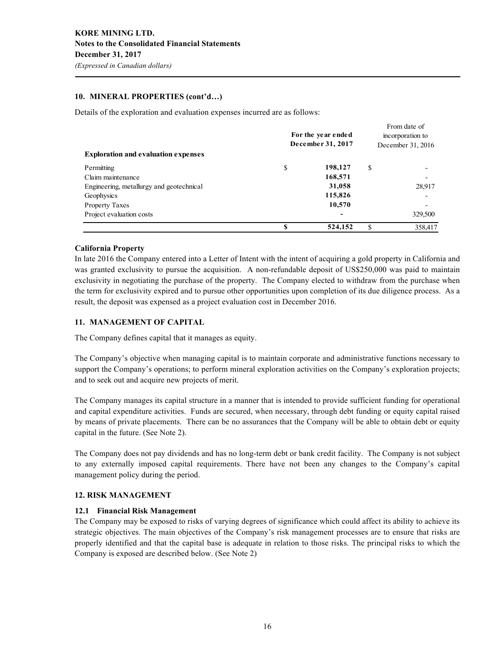# **10. MINERAL PROPERTIES (cont'd…)**

Details of the exploration and evaluation expenses incurred are as follows:

| <b>Exploration and evaluation expenses</b> | For the year ended<br>December 31, 2017 |                          | From date of<br>incorporation to<br>December 31, 2016 |         |  |
|--------------------------------------------|-----------------------------------------|--------------------------|-------------------------------------------------------|---------|--|
| Permitting                                 | \$                                      | 198,127                  | \$                                                    |         |  |
| Claim maintenance                          |                                         | 168,571                  |                                                       |         |  |
| Engineering, metallurgy and geotechnical   |                                         | 31,058                   |                                                       | 28,917  |  |
| Geophysics                                 |                                         | 115,826                  |                                                       |         |  |
| <b>Property Taxes</b>                      |                                         | 10,570                   |                                                       |         |  |
| Project evaluation costs                   |                                         | $\overline{\phantom{a}}$ |                                                       | 329,500 |  |
|                                            | S                                       | 524,152                  | S                                                     | 358,417 |  |

# **California Property**

In late 2016 the Company entered into a Letter of Intent with the intent of acquiring a gold property in California and was granted exclusivity to pursue the acquisition. A non-refundable deposit of US\$250,000 was paid to maintain exclusivity in negotiating the purchase of the property. The Company elected to withdraw from the purchase when the term for exclusivity expired and to pursue other opportunities upon completion of its due diligence process. As a result, the deposit was expensed as a project evaluation cost in December 2016.

# **11. MANAGEMENT OF CAPITAL**

The Company defines capital that it manages as equity.

The Company's objective when managing capital is to maintain corporate and administrative functions necessary to support the Company's operations; to perform mineral exploration activities on the Company's exploration projects; and to seek out and acquire new projects of merit.

The Company manages its capital structure in a manner that is intended to provide sufficient funding for operational and capital expenditure activities. Funds are secured, when necessary, through debt funding or equity capital raised by means of private placements. There can be no assurances that the Company will be able to obtain debt or equity capital in the future. (See Note 2).

The Company does not pay dividends and has no long-term debt or bank credit facility. The Company is not subject to any externally imposed capital requirements. There have not been any changes to the Company's capital management policy during the period.

# **12. RISK MANAGEMENT**

# **12.1 Financial Risk Management**

The Company may be exposed to risks of varying degrees of significance which could affect its ability to achieve its strategic objectives. The main objectives of the Company's risk management processes are to ensure that risks are properly identified and that the capital base is adequate in relation to those risks. The principal risks to which the Company is exposed are described below. (See Note 2)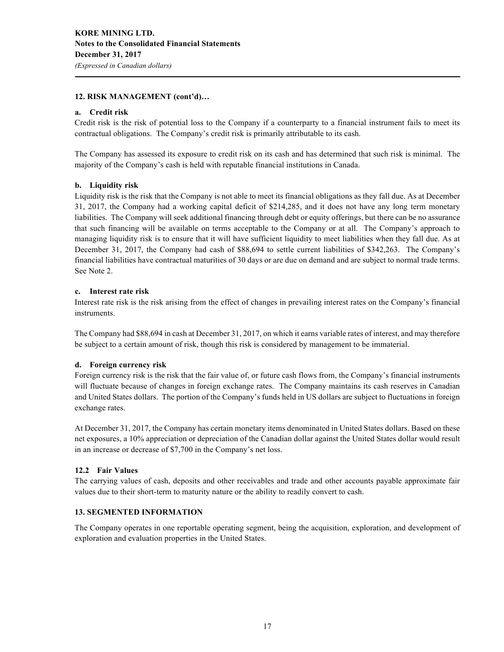### **12. RISK MANAGEMENT (cont'd)…**

#### **a. Credit risk**

Credit risk is the risk of potential loss to the Company if a counterparty to a financial instrument fails to meet its contractual obligations. The Company's credit risk is primarily attributable to its cash.

The Company has assessed its exposure to credit risk on its cash and has determined that such risk is minimal. The majority of the Company's cash is held with reputable financial institutions in Canada.

#### **b. Liquidity risk**

Liquidity risk is the risk that the Company is not able to meet its financial obligations as they fall due. As at December 31, 2017, the Company had a working capital deficit of \$214,285, and it does not have any long term monetary liabilities. The Company will seek additional financing through debt or equity offerings, but there can be no assurance that such financing will be available on terms acceptable to the Company or at all. The Company's approach to managing liquidity risk is to ensure that it will have sufficient liquidity to meet liabilities when they fall due. As at December 31, 2017, the Company had cash of \$88,694 to settle current liabilities of \$342,263. The Company's financial liabilities have contractual maturities of 30 days or are due on demand and are subject to normal trade terms. See Note 2.

#### **c. Interest rate risk**

Interest rate risk is the risk arising from the effect of changes in prevailing interest rates on the Company's financial instruments.

The Company had \$88,694 in cash at December 31, 2017, on which it earns variable rates of interest, and may therefore be subject to a certain amount of risk, though this risk is considered by management to be immaterial.

# **d. Foreign currency risk**

Foreign currency risk is the risk that the fair value of, or future cash flows from, the Company's financial instruments will fluctuate because of changes in foreign exchange rates. The Company maintains its cash reserves in Canadian and United States dollars. The portion of the Company's funds held in US dollars are subject to fluctuations in foreign exchange rates.

At December 31, 2017, the Company has certain monetary items denominated in United States dollars. Based on these net exposures, a 10% appreciation or depreciation of the Canadian dollar against the United States dollar would result in an increase or decrease of \$7,700 in the Company's net loss.

#### **12.2 Fair Values**

The carrying values of cash, deposits and other receivables and trade and other accounts payable approximate fair values due to their short-term to maturity nature or the ability to readily convert to cash.

#### **13. SEGMENTED INFORMATION**

The Company operates in one reportable operating segment, being the acquisition, exploration, and development of exploration and evaluation properties in the United States.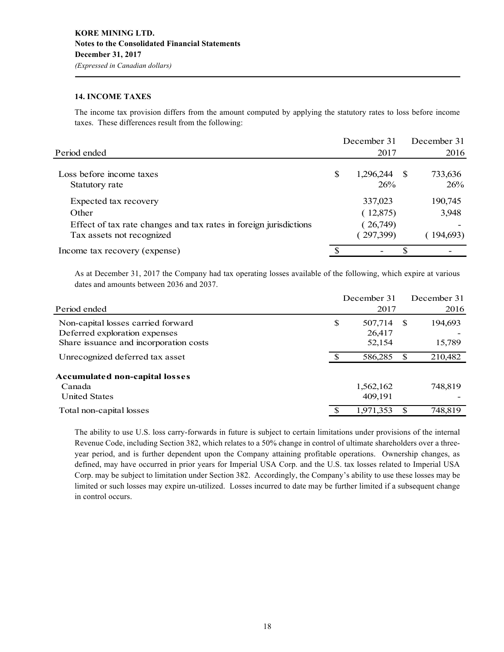### **14. INCOME TAXES**

The income tax provision differs from the amount computed by applying the statutory rates to loss before income taxes. These differences result from the following:

|                                                                                                |   | December 31           | December 31    |
|------------------------------------------------------------------------------------------------|---|-----------------------|----------------|
| Period ended                                                                                   |   | 2017                  | 2016           |
| Loss before income taxes<br>Statutory rate                                                     | S | 1,296,244 \$<br>26%   | 733,636<br>26% |
| Expected tax recovery                                                                          |   | 337,023               | 190,745        |
| Other                                                                                          |   | (12,875)              | 3,948          |
| Effect of tax rate changes and tax rates in foreign jurisdictions<br>Tax assets not recognized |   | (26,749)<br>(297,399) | 194,693        |
| Income tax recovery (expense)                                                                  |   |                       | \$             |

As at December 31, 2017 the Company had tax operating losses available of the following, which expire at various dates and amounts between 2036 and 2037.

|                                        | December 31   |    | December 31 |
|----------------------------------------|---------------|----|-------------|
| Period ended                           | 2017          |    | 2016        |
| Non-capital losses carried forward     | \$<br>507,714 | -S | 194,693     |
| Deferred exploration expenses          | 26,417        |    |             |
| Share issuance and incorporation costs | 52,154        |    | 15,789      |
| Unrecognized deferred tax asset        | 586,285       | S  | 210,482     |
| <b>Accumulated non-capital losses</b>  |               |    |             |
| Canada                                 | 1,562,162     |    | 748,819     |
| <b>United States</b>                   | 409,191       |    |             |
| Total non-capital losses               | 1,971,353     | S  | 748,819     |

The ability to use U.S. loss carry-forwards in future is subject to certain limitations under provisions of the internal Revenue Code, including Section 382, which relates to a 50% change in control of ultimate shareholders over a threeyear period, and is further dependent upon the Company attaining profitable operations. Ownership changes, as defined, may have occurred in prior years for Imperial USA Corp. and the U.S. tax losses related to Imperial USA Corp. may be subject to limitation under Section 382. Accordingly, the Company's ability to use these losses may be limited or such losses may expire un-utilized. Losses incurred to date may be further limited if a subsequent change in control occurs.